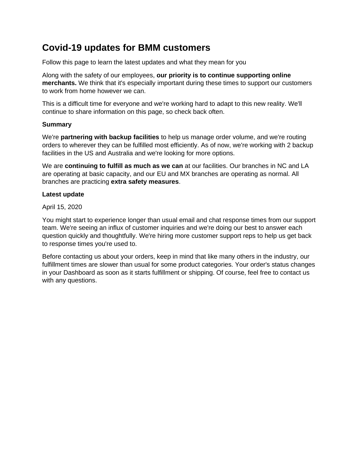# **Covid-19 updates for BMM customers**

Follow this page to learn the latest updates and what they mean for you

Along with the safety of our employees, **our priority is to continue supporting online merchants.** We think that it's especially important during these times to support our customers to work from home however we can.

This is a difficult time for everyone and we're working hard to adapt to this new reality. We'll continue to share information on this page, so check back often.

## **Summary**

We're **partnering with backup facilities** to help us manage order volume, and we're routing orders to wherever they can be fulfilled most efficiently. As of now, we're working with 2 backup facilities in the US and Australia and we're looking for more options.

We are **continuing to fulfill as much as we can** at our facilities. Our branches in NC and LA are operating at basic capacity, and our EU and MX branches are operating as normal. All branches are practicing **extra safety measures**.

# **Latest update**

April 15, 2020

You might start to experience longer than usual email and chat response times from our support team. We're seeing an influx of customer inquiries and we're doing our best to answer each question quickly and thoughtfully. We're hiring more customer support reps to help us get back to response times you're used to.

Before contacting us about your orders, keep in mind that like many others in the industry, our fulfillment times are slower than usual for some product categories. Your order's status changes in your Dashboard as soon as it starts fulfillment or shipping. Of course, feel free to contact us with any questions.